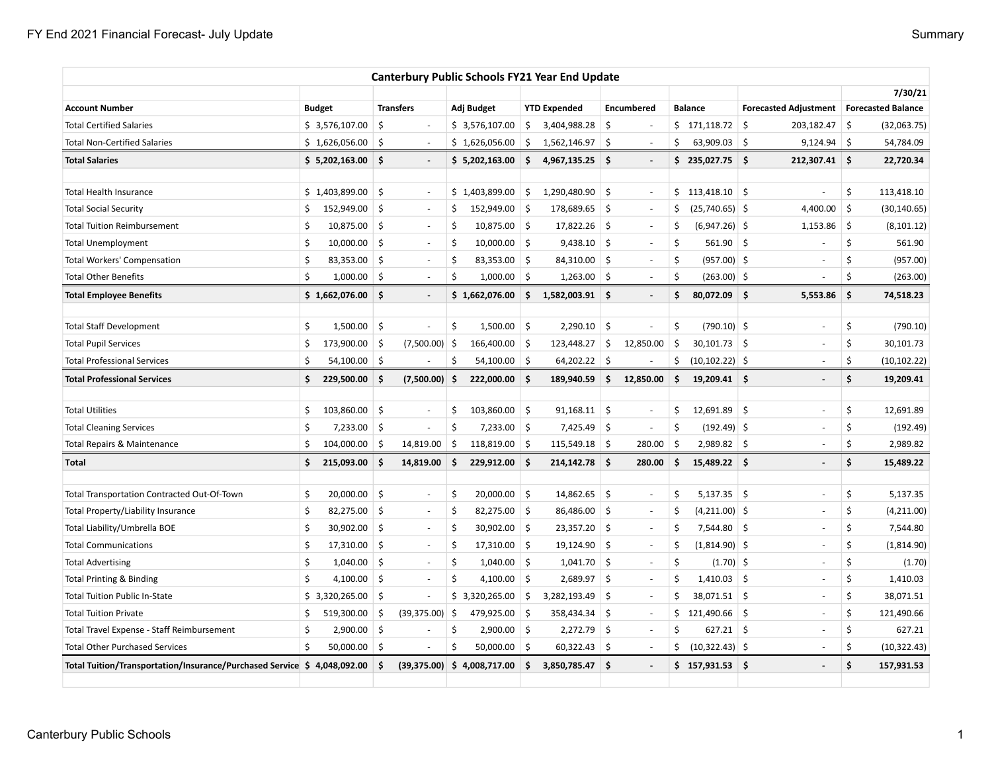| <b>Canterbury Public Schools FY21 Year End Update</b>                   |               |                |         |                          |                    |                |                     |                     |                    |                          |     |                   |         |                                            |            |              |
|-------------------------------------------------------------------------|---------------|----------------|---------|--------------------------|--------------------|----------------|---------------------|---------------------|--------------------|--------------------------|-----|-------------------|---------|--------------------------------------------|------------|--------------|
|                                                                         |               |                |         |                          |                    |                |                     |                     |                    |                          |     |                   |         |                                            | 7/30/21    |              |
| <b>Account Number</b>                                                   | <b>Budget</b> |                |         | <b>Transfers</b>         |                    | Adj Budget     |                     | <b>YTD Expended</b> |                    | Encumbered               |     | <b>Balance</b>    |         | Forecasted Adjustment   Forecasted Balance |            |              |
| <b>Total Certified Salaries</b>                                         |               | \$3,576,107.00 | \$      | $\overline{\phantom{a}}$ |                    | \$3,576,107.00 | \$                  | 3,404,988.28        | \$                 |                          |     | \$171,118.72      | -\$     | 203,182.47                                 | $\vert$ \$ | (32,063.75)  |
| <b>Total Non-Certified Salaries</b>                                     |               | \$1,626,056.00 | Ś.      | $\sim$                   |                    | \$1,626,056.00 | \$                  | 1,562,146.97        | Ŝ.                 | $\sim$                   | Ś   | 63,909.03         | -\$     | $9,124.94$ \$                              |            | 54,784.09    |
| <b>Total Salaries</b>                                                   |               | \$5,202,163.00 | Ŝ.      | $\blacksquare$           |                    | \$5,202,163.00 | \$                  | $4,967,135.25$ \$   |                    | $\overline{\phantom{a}}$ |     | \$235,027.75      |         | 212,307.41 \$                              |            | 22,720.34    |
| <b>Total Health Insurance</b>                                           |               | \$1,403,899.00 | \$      | $\overline{\phantom{a}}$ |                    | \$1,403,899.00 | $\ddot{\mathsf{S}}$ | 1,290,480.90        | \$                 | $\sim$                   |     | \$113,418.10      |         | ÷,                                         | \$         | 113,418.10   |
| Total Social Security                                                   | \$            | 152,949.00     | \$      | $\overline{\phantom{a}}$ | Ś                  | 152,949.00 \$  |                     | 178,689.65          | \$                 | $\overline{\phantom{a}}$ | \$. | $(25,740.65)$ \$  |         | 4,400.00                                   | \$         | (30, 140.65) |
| <b>Total Tuition Reimbursement</b>                                      | Ś             | 10,875.00      | -\$     | $\overline{\phantom{a}}$ | Ŝ                  | $10,875.00$ \$ |                     | 17,822.26           | \$                 | $\overline{\phantom{a}}$ | S   | $(6,947.26)$ \$   |         | 1,153.86                                   | $\vert$ \$ | (8, 101.12)  |
| <b>Total Unemployment</b>                                               | Ś             | 10,000.00      | Ŝ.      | $\sim$                   | Ś                  | $10,000.00$ \$ |                     | 9,438.10            | $\vert$ \$         | $\sim$                   | \$  | $561.90$ \$       |         | L,                                         | \$         | 561.90       |
| <b>Total Workers' Compensation</b>                                      | Ś             | 83,353.00      | S.      | $\sim$                   | \$                 | 83,353.00 \$   |                     | 84,310.00           | S.                 | $\sim$                   | \$  | $(957.00)$ \$     |         | ä,                                         | \$         | (957.00)     |
| <b>Total Other Benefits</b>                                             | \$            | 1,000.00       | -\$     | $\overline{\phantom{a}}$ | \$                 | $1,000.00$ \$  |                     | 1,263.00            | $\vert$ \$         | $\overline{\phantom{a}}$ | \$  | $(263.00)$ \$     |         |                                            | \$         | (263.00)     |
| <b>Total Employee Benefits</b>                                          |               | \$1,662,076.00 | Ŝ.      | $\blacksquare$           |                    | \$1,662,076.00 | \$                  | 1,582,003.91        | \$.                |                          | \$  | $80,072.09$ \$    |         | 5,553.86                                   | \$.        | 74,518.23    |
| <b>Total Staff Development</b>                                          | \$            | 1,500.00       | $\zeta$ | ÷,                       | \$                 | $1,500.00$ \$  |                     | 2,290.10            | \$                 |                          | \$  | $(790.10)$ \$     |         | í,                                         | \$         | (790.10)     |
| <b>Total Pupil Services</b>                                             | \$            | 173,900.00     | Ŝ.      | (7,500.00)               | -\$                | 166,400.00     | \$                  | 123,448.27          | \$                 | 12,850.00                | \$  | $30,101.73$ \$    |         |                                            | \$         | 30,101.73    |
| <b>Total Professional Services</b>                                      | Ś.            | 54,100.00      | -\$     |                          | Ŝ                  | $54,100.00$ \$ |                     | 64,202.22           | -\$                |                          | \$  | $(10, 102.22)$ \$ |         | Ē,                                         | \$         | (10, 102.22) |
| <b>Total Professional Services</b>                                      | \$            | 229,500.00     | \$      | (7,500.00)               | -\$                | 222,000.00 \$  |                     | 189,940.59          | \$                 | 12,850.00                | \$  | $19,209.41$ \$    |         | $\overline{\phantom{a}}$                   | \$         | 19,209.41    |
|                                                                         |               |                |         |                          |                    |                |                     |                     |                    |                          |     |                   |         |                                            |            |              |
| <b>Total Utilities</b>                                                  | \$            | 103,860.00     | \$      | ÷,                       | \$                 | 103,860.00     | $\ddot{\mathsf{S}}$ | 91,168.11           | \$                 | $\sim$                   | \$  | 12,691.89         | $\zeta$ | $\bar{a}$                                  | \$         | 12,691.89    |
| <b>Total Cleaning Services</b>                                          | \$            | 7,233.00       | $\zeta$ | ÷,                       | $\mathsf{\hat{S}}$ | $7,233.00$ \$  |                     | 7,425.49            | \$                 | $\overline{\phantom{a}}$ | \$  | $(192.49)$ \$     |         | ÷,                                         | \$         | (192.49)     |
| Total Repairs & Maintenance                                             | Ś.            | 104,000.00     | -\$     | 14,819.00                | \$                 | 118,819.00 \$  |                     | 115,549.18          | \$                 | 280.00                   | \$  | $2,989.82$ \$     |         |                                            | Ś          | 2,989.82     |
| Total                                                                   | \$            | 215,093.00     | Ŝ.      | 14,819.00                | Ŝ.                 | 229,912.00 \$  |                     | 214,142.78          | -\$                | 280.00                   | \$  | 15,489.22 \$      |         | $\blacksquare$                             | \$         | 15,489.22    |
| Total Transportation Contracted Out-Of-Town                             | \$            | 20,000.00      | $\zeta$ | $\overline{\phantom{a}}$ | \$                 | $20,000.00$ \$ |                     | 14,862.65           | \$                 | $\overline{\phantom{a}}$ | \$  | $5,137.35$ \$     |         | ÷                                          | \$         | 5,137.35     |
| Total Property/Liability Insurance                                      | \$            | 82,275.00      | S.      | $\overline{\phantom{a}}$ | $\mathsf{\hat{S}}$ | $82,275.00$ \$ |                     | 86,486.00           | \$                 | $\overline{\phantom{a}}$ | Ś   | $(4,211.00)$ \$   |         | $\overline{\phantom{a}}$                   | \$         | (4,211.00)   |
| Total Liability/Umbrella BOE                                            | \$            | 30,902.00      | Ŝ.      | $\sim$                   | Ś                  | $30,902.00$ \$ |                     | 23,357.20           | -\$                | $\sim$                   | Ś   | 7,544.80 \$       |         | $\sim$                                     | \$         | 7,544.80     |
| <b>Total Communications</b>                                             | \$            | 17,310.00      | \$      | $\sim$                   | $\mathsf{\hat{S}}$ | $17,310.00$ \$ |                     | 19,124.90           | \$                 | $\overline{\phantom{a}}$ | \$  | $(1,814.90)$ \$   |         | $\sim$                                     | \$         | (1,814.90)   |
| <b>Total Advertising</b>                                                | \$            | 1,040.00       | \$      | $\overline{\phantom{a}}$ | \$                 | 1,040.00       | $\ddot{\mathsf{S}}$ | 1,041.70            | \$                 | $\overline{\phantom{a}}$ | \$  | $(1.70)$ \$       |         | Ē,                                         | \$         | (1.70)       |
| <b>Total Printing &amp; Binding</b>                                     | \$            | 4,100.00       | \$      | $\sim$                   | \$                 | 4,100.00       | $\ddot{\mathsf{S}}$ | 2,689.97            | $\mathsf{\hat{S}}$ | $\overline{\phantom{a}}$ | Ś   | $1,410.03$ \$     |         |                                            | \$         | 1,410.03     |
| <b>Total Tuition Public In-State</b>                                    |               | \$3,320,265.00 | Ŝ.      |                          |                    | \$3,320,265.00 | Ŝ.                  | 3,282,193.49        | \$                 | $\sim$                   | Ś   | 38,071.51 \$      |         | ÷,                                         | \$         | 38,071.51    |
| <b>Total Tuition Private</b>                                            | \$            | 519,300.00     | \$      | (39, 375.00)             | \$                 | 479,925.00 \$  |                     | 358,434.34          | \$                 | $\overline{\phantom{a}}$ |     | \$121,490.66      |         | ÷,                                         | \$         | 121,490.66   |
| Total Travel Expense - Staff Reimbursement                              | Ś             | 2,900.00       | \$      | $\overline{\phantom{a}}$ | \$                 | $2,900.00$ \$  |                     | 2,272.79            | \$                 | $\overline{\phantom{a}}$ | \$  | $627.21$ \$       |         | ÷                                          | \$         | 627.21       |
| <b>Total Other Purchased Services</b>                                   | \$            | $50,000.00$ \$ |         | $\overline{\phantom{a}}$ | Ś                  | $50,000.00$ \$ |                     | $60,322.43$ \$      |                    | $\sim$                   | \$  | $(10,322.43)$ \$  |         | $\overline{\phantom{a}}$                   | \$         | (10, 322.43) |
| Total Tuition/Transportation/Insurance/Purchased Service \$4,048,092.00 |               |                | Ŝ.      | (39, 375.00)             |                    | \$4,008,717.00 | \$                  | 3,850,785.47 \$     |                    |                          |     | \$157,931.53      |         | $\overline{a}$                             | \$         | 157,931.53   |